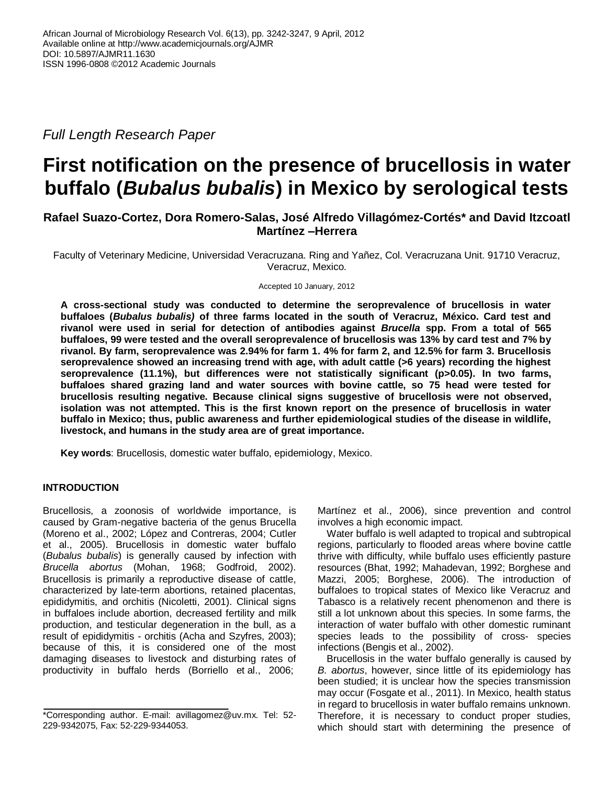*Full Length Research Paper*

# **First notification on the presence of brucellosis in water buffalo (***Bubalus bubalis***) in Mexico by serological tests**

# **Rafael Suazo-Cortez, Dora Romero-Salas, José Alfredo Villagómez-Cortés\* and David Itzcoatl Martínez –Herrera**

Faculty of Veterinary Medicine, Universidad Veracruzana. Ring and Yañez, Col. Veracruzana Unit. 91710 Veracruz, Veracruz, Mexico.

Accepted 10 January, 2012

**A cross-sectional study was conducted to determine the seroprevalence of brucellosis in water buffaloes (***Bubalus bubalis)* **of three farms located in the south of Veracruz, México. Card test and rivanol were used in serial for detection of antibodies against** *Brucella* **spp. From a total of 565 buffaloes, 99 were tested and the overall seroprevalence of brucellosis was 13% by card test and 7% by rivanol. By farm, seroprevalence was 2.94% for farm 1. 4% for farm 2, and 12.5% for farm 3. Brucellosis seroprevalence showed an increasing trend with age, with adult cattle (>6 years) recording the highest seroprevalence (11.1%), but differences were not statistically significant (p>0.05). In two farms, buffaloes shared grazing land and water sources with bovine cattle, so 75 head were tested for brucellosis resulting negative. Because clinical signs suggestive of brucellosis were not observed, isolation was not attempted. This is the first known report on the presence of brucellosis in water buffalo in Mexico; thus, public awareness and further epidemiological studies of the disease in wildlife, livestock, and humans in the study area are of great importance.**

**Key words**: Brucellosis, domestic water buffalo, epidemiology, Mexico.

# **INTRODUCTION**

Brucellosis, a zoonosis of worldwide importance, is caused by Gram-negative bacteria of the genus Brucella (Moreno et al., 2002; López and Contreras, 2004; Cutler et al., 2005). Brucellosis in domestic water buffalo (*Bubalus bubalis*) is generally caused by infection with *Brucella abortus* (Mohan, 1968; Godfroid, 2002). Brucellosis is primarily a reproductive disease of cattle, characterized by late-term abortions, retained placentas, epididymitis, and orchitis (Nicoletti, 2001). Clinical signs in buffaloes include abortion, decreased fertility and milk production, and testicular degeneration in the bull, as a result of epididymitis - orchitis (Acha and Szyfres, 2003); because of this, it is considered one of the most damaging diseases to livestock and disturbing rates of productivity in buffalo herds (Borriello et al., 2006;

Martínez et al., 2006), since prevention and control involves a high economic impact.

Water buffalo is well adapted to tropical and subtropical regions, particularly to flooded areas where bovine cattle thrive with difficulty, while buffalo uses efficiently pasture resources (Bhat, 1992; Mahadevan, 1992; Borghese and Mazzi, 2005; Borghese, 2006). The introduction of buffaloes to tropical states of Mexico like Veracruz and Tabasco is a relatively recent phenomenon and there is still a lot unknown about this species. In some farms, the interaction of water buffalo with other domestic ruminant species leads to the possibility of cross- species infections (Bengis et al., 2002).

Brucellosis in the water buffalo generally is caused by *B. abortus*, however, since little of its epidemiology has been studied; it is unclear how the species transmission may occur (Fosgate et al., 2011). In Mexico, health status in regard to brucellosis in water buffalo remains unknown. Therefore, it is necessary to conduct proper studies, which should start with determining the presence of

<sup>\*</sup>Corresponding author. E-mail: avillagomez@uv.mx. Tel: 52- 229-9342075, Fax: 52-229-9344053.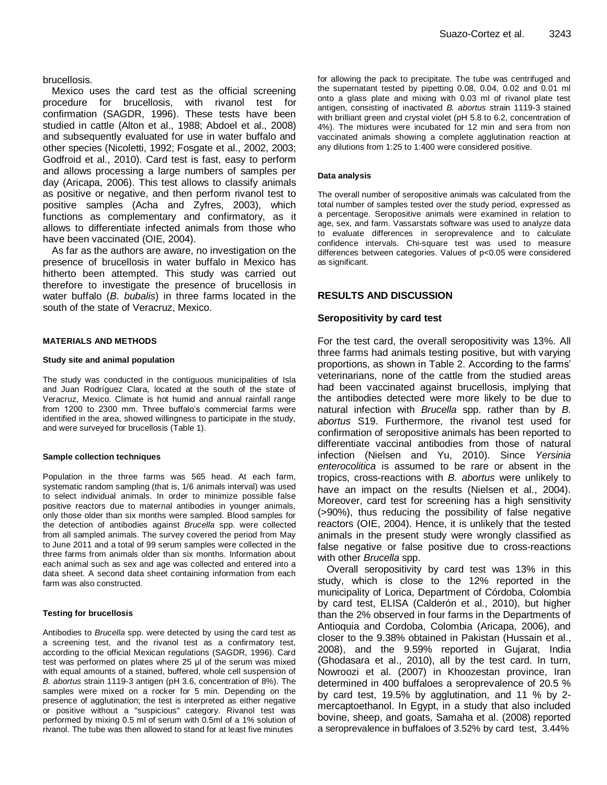brucellosis.

Mexico uses the card test as the official screening procedure for brucellosis, with rivanol test for confirmation (SAGDR, 1996). These tests have been studied in cattle (Alton et al., 1988; Abdoel et al., 2008) and subsequently evaluated for use in water buffalo and other species (Nicoletti, 1992; Fosgate et al., 2002, 2003; Godfroid et al., 2010). Card test is fast, easy to perform and allows processing a large numbers of samples per day (Aricapa, 2006). This test allows to classify animals as positive or negative, and then perform rivanol test to positive samples (Acha and Zyfres, 2003), which functions as complementary and confirmatory, as it allows to differentiate infected animals from those who have been vaccinated (OIE, 2004).

As far as the authors are aware, no investigation on the presence of brucellosis in water buffalo in Mexico has hitherto been attempted. This study was carried out therefore to investigate the presence of brucellosis in water buffalo (*B. bubalis*) in three farms located in the south of the state of Veracruz, Mexico.

#### **MATERIALS AND METHODS**

### **Study site and animal population**

The study was conducted in the contiguous municipalities of Isla and Juan Rodríguez Clara, located at the south of the state of Veracruz, Mexico. Climate is hot humid and annual rainfall range from 1200 to 2300 mm. Three buffalo's commercial farms were identified in the area, showed willingness to participate in the study, and were surveyed for brucellosis (Table 1).

#### **Sample collection techniques**

Population in the three farms was 565 head. At each farm, systematic random sampling (that is, 1/6 animals interval) was used to select individual animals. In order to minimize possible false positive reactors due to maternal antibodies in younger animals, only those older than six months were sampled. Blood samples for the detection of antibodies against *Brucella* spp. were collected from all sampled animals. The survey covered the period from May to June 2011 and a total of 99 serum samples were collected in the three farms from animals older than six months. Information about each animal such as sex and age was collected and entered into a data sheet. A second data sheet containing information from each farm was also constructed.

### **Testing for brucellosis**

Antibodies to *Brucella* spp. were detected by using the card test as a screening test, and the rivanol test as a confirmatory test, according to the official Mexican regulations (SAGDR, 1996). Card test was performed on plates where 25 μl of the serum was mixed with equal amounts of a stained, buffered, whole cell suspension of *B. abortus* strain 1119-3 antigen (pH 3.6, concentration of 8%). The samples were mixed on a rocker for 5 min. Depending on the presence of agglutination; the test is interpreted as either negative or positive without a "suspicious" category. Rivanol test was performed by mixing 0.5 ml of serum with 0.5ml of a 1% solution of rivanol. The tube was then allowed to stand for at least five minutes

for allowing the pack to precipitate. The tube was centrifuged and the supernatant tested by pipetting 0.08, 0.04, 0.02 and 0.01 ml onto a glass plate and mixing with 0.03 ml of rivanol plate test antigen, consisting of inactivated *B. abortus* strain 1119-3 stained with brilliant green and crystal violet (pH 5.8 to 6.2, concentration of 4%). The mixtures were incubated for 12 min and sera from non vaccinated animals showing a complete agglutination reaction at any dilutions from 1:25 to 1:400 were considered positive.

#### **Data analysis**

The overall number of seropositive animals was calculated from the total number of samples tested over the study period, expressed as a percentage. Seropositive animals were examined in relation to age, sex, and farm. Vassarstats software was used to analyze data to evaluate differences in seroprevalence and to calculate confidence intervals. Chi-square test was used to measure differences between categories. Values of p<0.05 were considered as significant.

## **RESULTS AND DISCUSSION**

## **Seropositivity by card test**

For the test card, the overall seropositivity was 13%. All three farms had animals testing positive, but with varying proportions, as shown in Table 2. According to the farms' veterinarians, none of the cattle from the studied areas had been vaccinated against brucellosis, implying that the antibodies detected were more likely to be due to natural infection with *Brucella* spp. rather than by *B. abortus* S19. Furthermore, the rivanol test used for confirmation of seropositive animals has been reported to differentiate vaccinal antibodies from those of natural infection (Nielsen and Yu, 2010). Since *Yersinia enterocolitica* is assumed to be rare or absent in the tropics, cross-reactions with *B. abortus* were unlikely to have an impact on the results (Nielsen et al., 2004). Moreover, card test for screening has a high sensitivity (>90%), thus reducing the possibility of false negative reactors (OIE, 2004). Hence, it is unlikely that the tested animals in the present study were wrongly classified as false negative or false positive due to cross-reactions with other *Brucella* spp.

Overall seropositivity by card test was 13% in this study, which is close to the 12% reported in the municipality of Lorica, Department of Córdoba, Colombia by card test, ELISA (Calderón et al., 2010), but higher than the 2% observed in four farms in the Departments of Antioquia and Cordoba, Colombia (Aricapa, 2006), and closer to the 9.38% obtained in Pakistan (Hussain et al., 2008), and the 9.59% reported in Gujarat, India (Ghodasara et al., 2010), all by the test card. In turn, Nowroozi et al. (2007) in Khoozestan province, Iran determined in 400 buffaloes a seroprevalence of 20.5 % by card test, 19.5% by agglutination, and 11 % by 2 mercaptoethanol. In Egypt, in a study that also included bovine, sheep, and goats, Samaha et al. (2008) reported a seroprevalence in buffaloes of 3.52% by card test, 3.44%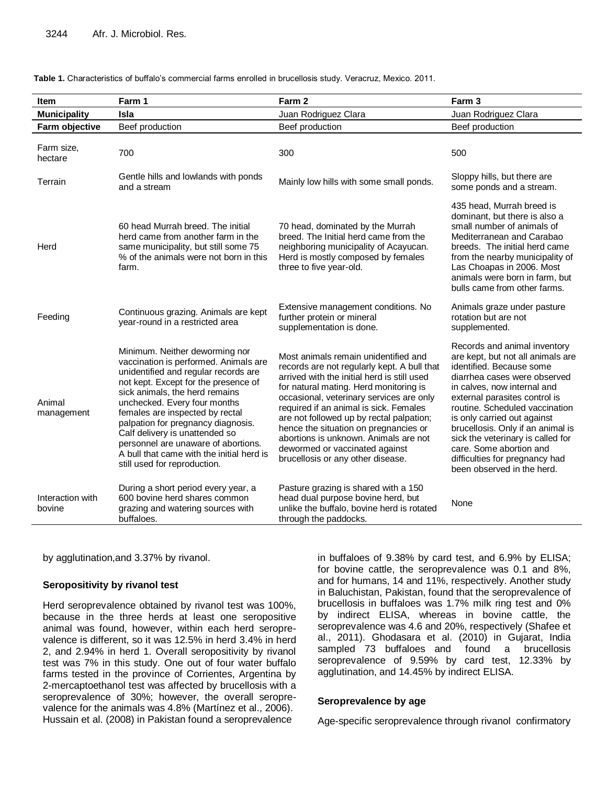| <b>Item</b>                | Farm 1                                                                                                                                                                                                                                                                                                                                                                                                                                                   | Farm 2                                                                                                                                                                                                                                                                                                                                                                                                                                                                  | Farm 3                                                                                                                                                                                                                                                                                                                                                                                                                              |
|----------------------------|----------------------------------------------------------------------------------------------------------------------------------------------------------------------------------------------------------------------------------------------------------------------------------------------------------------------------------------------------------------------------------------------------------------------------------------------------------|-------------------------------------------------------------------------------------------------------------------------------------------------------------------------------------------------------------------------------------------------------------------------------------------------------------------------------------------------------------------------------------------------------------------------------------------------------------------------|-------------------------------------------------------------------------------------------------------------------------------------------------------------------------------------------------------------------------------------------------------------------------------------------------------------------------------------------------------------------------------------------------------------------------------------|
| <b>Municipality</b>        | <b>Isla</b>                                                                                                                                                                                                                                                                                                                                                                                                                                              | Juan Rodriguez Clara                                                                                                                                                                                                                                                                                                                                                                                                                                                    | Juan Rodriguez Clara                                                                                                                                                                                                                                                                                                                                                                                                                |
| Farm objective             | Beef production                                                                                                                                                                                                                                                                                                                                                                                                                                          | Beef production                                                                                                                                                                                                                                                                                                                                                                                                                                                         | Beef production                                                                                                                                                                                                                                                                                                                                                                                                                     |
| Farm size,<br>hectare      | 700                                                                                                                                                                                                                                                                                                                                                                                                                                                      | 300                                                                                                                                                                                                                                                                                                                                                                                                                                                                     | 500                                                                                                                                                                                                                                                                                                                                                                                                                                 |
| Terrain                    | Gentle hills and lowlands with ponds<br>and a stream                                                                                                                                                                                                                                                                                                                                                                                                     | Mainly low hills with some small ponds.                                                                                                                                                                                                                                                                                                                                                                                                                                 | Sloppy hills, but there are<br>some ponds and a stream.                                                                                                                                                                                                                                                                                                                                                                             |
| Herd                       | 60 head Murrah breed. The initial<br>herd came from another farm in the<br>same municipality, but still some 75<br>% of the animals were not born in this<br>farm.                                                                                                                                                                                                                                                                                       | 70 head, dominated by the Murrah<br>breed. The Initial herd came from the<br>neighboring municipality of Acayucan.<br>Herd is mostly composed by females<br>three to five year-old.                                                                                                                                                                                                                                                                                     | 435 head, Murrah breed is<br>dominant, but there is also a<br>small number of animals of<br>Mediterranean and Carabao<br>breeds. The initial herd came<br>from the nearby municipality of<br>Las Choapas in 2006. Most<br>animals were born in farm, but<br>bulls came from other farms.                                                                                                                                            |
| Feeding                    | Continuous grazing. Animals are kept<br>year-round in a restricted area                                                                                                                                                                                                                                                                                                                                                                                  | Extensive management conditions. No<br>further protein or mineral<br>supplementation is done.                                                                                                                                                                                                                                                                                                                                                                           | Animals graze under pasture<br>rotation but are not<br>supplemented.                                                                                                                                                                                                                                                                                                                                                                |
| Animal<br>management       | Minimum. Neither deworming nor<br>vaccination is performed. Animals are<br>unidentified and regular records are<br>not kept. Except for the presence of<br>sick animals, the herd remains<br>unchecked. Every four months<br>females are inspected by rectal<br>palpation for pregnancy diagnosis.<br>Calf delivery is unattended so<br>personnel are unaware of abortions.<br>A bull that came with the initial herd is<br>still used for reproduction. | Most animals remain unidentified and<br>records are not regularly kept. A bull that<br>arrived with the initial herd is still used<br>for natural mating. Herd monitoring is<br>occasional, veterinary services are only<br>required if an animal is sick. Females<br>are not followed up by rectal palpation;<br>hence the situation on pregnancies or<br>abortions is unknown. Animals are not<br>dewormed or vaccinated against<br>brucellosis or any other disease. | Records and animal inventory<br>are kept, but not all animals are<br>identified. Because some<br>diarrhea cases were observed<br>in calves, now internal and<br>external parasites control is<br>routine. Scheduled vaccination<br>is only carried out against<br>brucellosis. Only if an animal is<br>sick the veterinary is called for<br>care. Some abortion and<br>difficulties for pregnancy had<br>been observed in the herd. |
| Interaction with<br>bovine | During a short period every year, a<br>600 bovine herd shares common<br>grazing and watering sources with<br>buffaloes.                                                                                                                                                                                                                                                                                                                                  | Pasture grazing is shared with a 150<br>head dual purpose bovine herd, but<br>unlike the buffalo, bovine herd is rotated<br>through the paddocks.                                                                                                                                                                                                                                                                                                                       | None                                                                                                                                                                                                                                                                                                                                                                                                                                |

**Table 1.** Characteristics of buffalo's commercial farms enrolled in brucellosis study. Veracruz, Mexico. 2011.

by agglutination,and 3.37% by rivanol.

## **Seropositivity by rivanol test**

Herd seroprevalence obtained by rivanol test was 100%, because in the three herds at least one seropositive animal was found, however, within each herd seroprevalence is different, so it was 12.5% in herd 3.4% in herd 2, and 2.94% in herd 1. Overall seropositivity by rivanol test was 7% in this study. One out of four water buffalo farms tested in the province of Corrientes, Argentina by 2-mercaptoethanol test was affected by brucellosis with a seroprevalence of 30%; however, the overall seroprevalence for the animals was 4.8% (Martínez et al., 2006). Hussain et al. (2008) in Pakistan found a seroprevalence

in buffaloes of 9.38% by card test, and 6.9% by ELISA; for bovine cattle, the seroprevalence was 0.1 and 8%, and for humans, 14 and 11%, respectively. Another study in Baluchistan, Pakistan, found that the seroprevalence of brucellosis in buffaloes was 1.7% milk ring test and 0% by indirect ELISA, whereas in bovine cattle, the seroprevalence was 4.6 and 20%, respectively (Shafee et al., 2011). Ghodasara et al. (2010) in Gujarat, India sampled 73 buffaloes and found a brucellosis seroprevalence of 9.59% by card test, 12.33% by agglutination, and 14.45% by indirect ELISA.

## **Seroprevalence by age**

Age-specific seroprevalence through rivanol confirmatory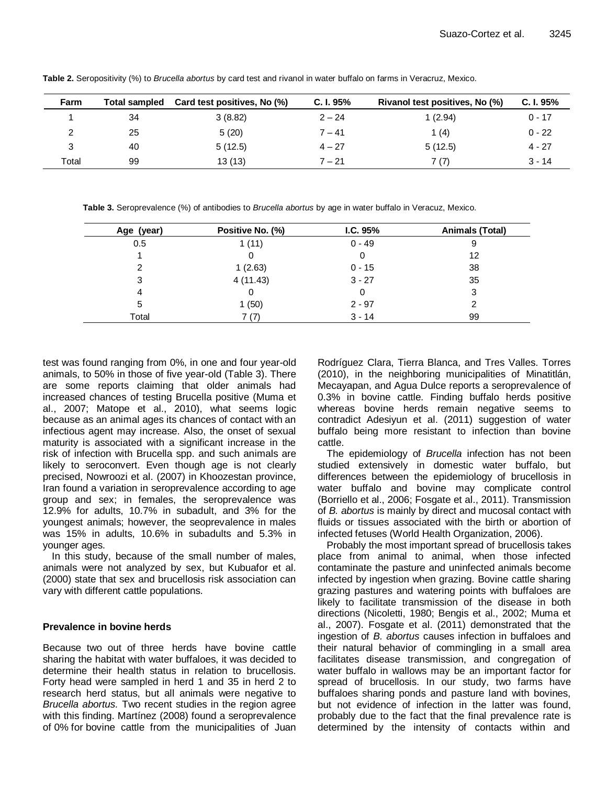| Farm  | <b>Total sampled</b> | Card test positives, No (%) | C. I. 95% | Rivanol test positives, No (%) | C. I. 95% |
|-------|----------------------|-----------------------------|-----------|--------------------------------|-----------|
|       | 34                   | 3(8.82)                     | $2 - 24$  | 1(2.94)                        | $0 - 17$  |
|       | 25                   | 5(20)                       | $7 - 41$  | 1 $(4)$                        | $0 - 22$  |
|       | 40                   | 5(12.5)                     | $4 - 27$  | 5(12.5)                        | $4 - 27$  |
| Total | 99                   | 13 (13)                     | $7 - 21$  | 7 (7)                          | $3 - 14$  |

**Table 2.** Seropositivity (%) to *Brucella abortus* by card test and rivanol in water buffalo on farms in Veracruz, Mexico.

**Table 3.** Seroprevalence (%) of antibodies to *Brucella abortus* by age in water buffalo in Veracuz, Mexico.

| Age (year) | Positive No. (%) | IC. 95%  | Animals (Total) |
|------------|------------------|----------|-----------------|
| 0.5        | 1(11)            | $0 - 49$ | 9               |
|            |                  | O        | 12              |
| 2          | 1(2.63)          | $0 - 15$ | 38              |
| 3          | 4(11.43)         | $3 - 27$ | 35              |
| 4          | 0                | O        | 3               |
| 5          | l (50)           | $2 - 97$ |                 |
| Total      | 7 (7)            | $3 - 14$ | 99              |

test was found ranging from 0%, in one and four year-old animals, to 50% in those of five year-old (Table 3). There are some reports claiming that older animals had increased chances of testing Brucella positive (Muma et al., 2007; Matope et al., 2010), what seems logic because as an animal ages its chances of contact with an infectious agent may increase. Also, the onset of sexual maturity is associated with a significant increase in the risk of infection with Brucella spp. and such animals are likely to seroconvert. Even though age is not clearly precised, Nowroozi et al. (2007) in Khoozestan province, Iran found a variation in seroprevalence according to age group and sex; in females, the seroprevalence was 12.9% for adults, 10.7% in subadult, and 3% for the youngest animals; however, the seoprevalence in males was 15% in adults, 10.6% in subadults and 5.3% in younger ages.

In this study, because of the small number of males, animals were not analyzed by sex, but Kubuafor et al. (2000) state that sex and brucellosis risk association can vary with different cattle populations.

# **Prevalence in bovine herds**

Because two out of three herds have bovine cattle sharing the habitat with water buffaloes, it was decided to determine their health status in relation to brucellosis. Forty head were sampled in herd 1 and 35 in herd 2 to research herd status, but all animals were negative to *Brucella abortus.* Two recent studies in the region agree with this finding. Martínez (2008) found a seroprevalence of 0% for bovine cattle from the municipalities of Juan Rodríguez Clara, Tierra Blanca, and Tres Valles. Torres (2010), in the neighboring municipalities of Minatitlán, Mecayapan, and Agua Dulce reports a seroprevalence of 0.3% in bovine cattle. Finding buffalo herds positive whereas bovine herds remain negative seems to contradict Adesiyun et al. (2011) suggestion of water buffalo being more resistant to infection than bovine cattle.

The epidemiology of *Brucella* infection has not been studied extensively in domestic water buffalo, but differences between the epidemiology of brucellosis in water buffalo and bovine may complicate control (Borriello et al., 2006; Fosgate et al., 2011). Transmission of *B. abortus* is mainly by direct and mucosal contact with fluids or tissues associated with the birth or abortion of infected fetuses (World Health Organization, 2006).

Probably the most important spread of brucellosis takes place from animal to animal, when those infected contaminate the pasture and uninfected animals become infected by ingestion when grazing. Bovine cattle sharing grazing pastures and watering points with buffaloes are likely to facilitate transmission of the disease in both directions (Nicoletti, 1980; Bengis et al., 2002; Muma et al., 2007). Fosgate et al. (2011) demonstrated that the ingestion of *B. abortus* causes infection in buffaloes and their natural behavior of commingling in a small area facilitates disease transmission, and congregation of water buffalo in wallows may be an important factor for spread of brucellosis. In our study, two farms have buffaloes sharing ponds and pasture land with bovines, but not evidence of infection in the latter was found, probably due to the fact that the final prevalence rate is determined by the intensity of contacts within and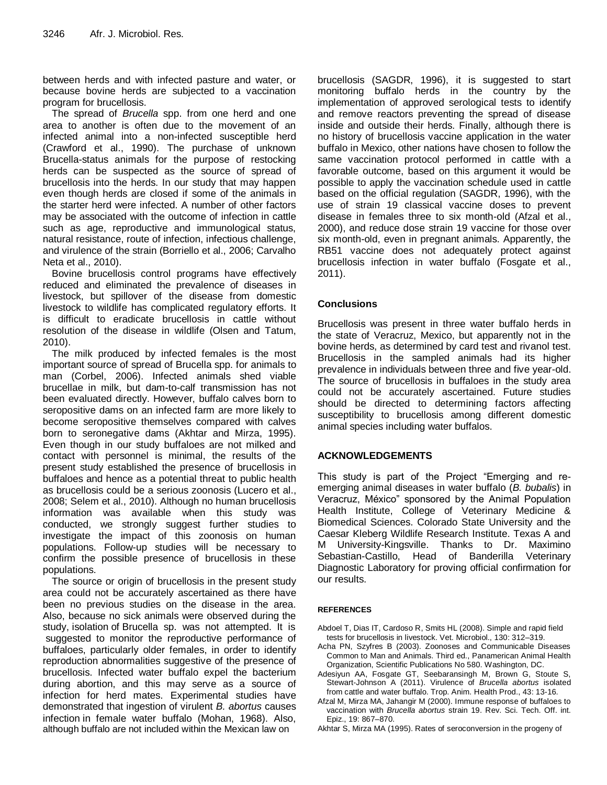between herds and with infected pasture and water, or because bovine herds are subjected to a vaccination program for brucellosis.

The spread of *Brucella* spp. from one herd and one area to another is often due to the movement of an infected animal into a non-infected susceptible herd (Crawford et al., 1990). The purchase of unknown Brucella-status animals for the purpose of restocking herds can be suspected as the source of spread of brucellosis into the herds. In our study that may happen even though herds are closed if some of the animals in the starter herd were infected. A number of other factors may be associated with the outcome of infection in cattle such as age, reproductive and immunological status, natural resistance, route of infection, infectious challenge, and virulence of the strain (Borriello et al., 2006; Carvalho Neta et al., 2010).

Bovine brucellosis control programs have effectively reduced and eliminated the prevalence of diseases in livestock, but spillover of the disease from domestic livestock to wildlife has complicated regulatory efforts. It is difficult to eradicate brucellosis in cattle without resolution of the disease in wildlife (Olsen and Tatum, 2010).

The milk produced by infected females is the most important source of spread of Brucella spp. for animals to man (Corbel, 2006). Infected animals shed viable brucellae in milk, but dam-to-calf transmission has not been evaluated directly. However, buffalo calves born to seropositive dams on an infected farm are more likely to become seropositive themselves compared with calves born to seronegative dams (Akhtar and Mirza, 1995). Even though in our study buffaloes are not milked and contact with personnel is minimal, the results of the present study established the presence of brucellosis in buffaloes and hence as a potential threat to public health as brucellosis could be a serious zoonosis (Lucero et al., 2008; Selem et al., 2010). Although no human brucellosis information was available when this study was conducted, we strongly suggest further studies to investigate the impact of this zoonosis on human populations. Follow-up studies will be necessary to confirm the possible presence of brucellosis in these populations.

The source or origin of brucellosis in the present study area could not be accurately ascertained as there have been no previous studies on the disease in the area. Also, because no sick animals were observed during the study, isolation of Brucella sp. was not attempted. It is suggested to monitor the reproductive performance of buffaloes, particularly older females, in order to identify reproduction abnormalities suggestive of the presence of brucellosis. Infected water buffalo expel the bacterium during abortion, and this may serve as a source of infection for herd mates. Experimental studies have demonstrated that ingestion of virulent *B. abortus* causes infection in female water buffalo (Mohan, 1968). Also, although buffalo are not included within the Mexican law on

brucellosis (SAGDR, 1996), it is suggested to start monitoring buffalo herds in the country by the implementation of approved serological tests to identify and remove reactors preventing the spread of disease inside and outside their herds. Finally, although there is no history of brucellosis vaccine application in the water buffalo in Mexico, other nations have chosen to follow the same vaccination protocol performed in cattle with a favorable outcome, based on this argument it would be possible to apply the vaccination schedule used in cattle based on the official regulation (SAGDR, 1996), with the use of strain 19 classical vaccine doses to prevent disease in females three to six month-old (Afzal et al., 2000), and reduce dose strain 19 vaccine for those over six month-old, even in pregnant animals. Apparently, the RB51 vaccine does not adequately protect against brucellosis infection in water buffalo (Fosgate et al., 2011).

# **Conclusions**

Brucellosis was present in three water buffalo herds in the state of Veracruz, Mexico, but apparently not in the bovine herds, as determined by card test and rivanol test. Brucellosis in the sampled animals had its higher prevalence in individuals between three and five year-old. The source of brucellosis in buffaloes in the study area could not be accurately ascertained. Future studies should be directed to determining factors affecting susceptibility to brucellosis among different domestic animal species including water buffalos.

# **ACKNOWLEDGEMENTS**

This study is part of the Project "Emerging and reemerging animal diseases in water buffalo (*B. bubalis*) in Veracruz, México" sponsored by the Animal Population Health Institute, College of Veterinary Medicine & Biomedical Sciences. Colorado State University and the Caesar Kleberg Wildlife Research Institute. Texas A and M University-Kingsville. Thanks to Dr. Maximino Sebastian-Castillo, Head of Banderilla Veterinary Diagnostic Laboratory for proving official confirmation for our results.

## **REFERENCES**

- Abdoel T, Dias IT, Cardoso R, Smits HL (2008). Simple and rapid field tests for brucellosis in livestock. Vet. Microbiol., 130: 312–319.
- Acha PN, Szyfres B (2003). Zoonoses and Communicable Diseases Common to Man and Animals. Third ed., Panamerican Animal Health Organization, Scientific Publications No 580. Washington, DC.
- Adesiyun AA, Fosgate GT, Seebaransingh M, Brown G, Stoute S, Stewart-Johnson A (2011). Virulence of *Brucella abortus* isolated from cattle and water buffalo. Trop. Anim. Health Prod., 43: 13-16.
- Afzal M, Mirza MA, Jahangir M (2000). Immune response of buffaloes to vaccination with *Brucella abortus* strain 19. Rev. Sci. Tech. Off. int. Epiz., 19: 867–870.
- Akhtar S, Mirza MA (1995). Rates of seroconversion in the progeny of